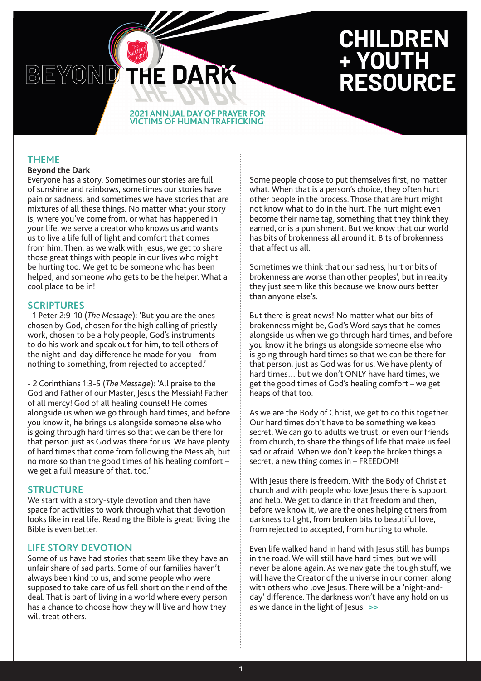# **CHILDREN + YOUTH RESOURCE**

#### **2021 ANNUAL DAY OF PRAYER FOR VICTIMS OF HUMAN TRAFFICKING**

THE DARK

## **THEME**

#### **Beyond the Dark**

BEYOND

Everyone has a story. Sometimes our stories are full of sunshine and rainbows, sometimes our stories have pain or sadness, and sometimes we have stories that are mixtures of all these things. No matter what your story is, where you've come from, or what has happened in your life, we serve a creator who knows us and wants us to live a life full of light and comfort that comes from him. Then, as we walk with Jesus, we get to share those great things with people in our lives who might be hurting too. We get to be someone who has been helped, and someone who gets to be the helper. What a cool place to be in!

#### **SCRIPTURES**

- 1 Peter 2:9-10 (*The Message*): 'But you are the ones chosen by God, chosen for the high calling of priestly work, chosen to be a holy people, God's instruments to do his work and speak out for him, to tell others of the night-and-day difference he made for you – from nothing to something, from rejected to accepted.'

- 2 Corinthians 1:3-5 (*The Message*): 'All praise to the God and Father of our Master, Jesus the Messiah! Father of all mercy! God of all healing counsel! He comes alongside us when we go through hard times, and before you know it, he brings us alongside someone else who is going through hard times so that we can be there for that person just as God was there for us. We have plenty of hard times that come from following the Messiah, but no more so than the good times of his healing comfort – we get a full measure of that, too.'

#### **STRUCTURE**

We start with a story-style devotion and then have space for activities to work through what that devotion looks like in real life. Reading the Bible is great; living the Bible is even better.

# **LIFE STORY DEVOTION**

Some of us have had stories that seem like they have an unfair share of sad parts. Some of our families haven't always been kind to us, and some people who were supposed to take care of us fell short on their end of the deal. That is part of living in a world where every person has a chance to choose how they will live and how they will treat others.

Some people choose to put themselves first, no matter what. When that is a person's choice, they often hurt other people in the process. Those that are hurt might not know what to do in the hurt. The hurt might even become their name tag, something that they think they earned, or is a punishment. But we know that our world has bits of brokenness all around it. Bits of brokenness that affect us all.

Sometimes we think that our sadness, hurt or bits of brokenness are worse than other peoples', but in reality they just seem like this because we know ours better than anyone else's.

But there is great news! No matter what our bits of brokenness might be, God's Word says that he comes alongside us when we go through hard times, and before you know it he brings us alongside someone else who is going through hard times so that we can be there for that person, just as God was for us. We have plenty of hard times… but we don't ONLY have hard times, we get the good times of God's healing comfort – we get heaps of that too.

As we are the Body of Christ, we get to do this together. Our hard times don't have to be something we keep secret. We can go to adults we trust, or even our friends from church, to share the things of life that make us feel sad or afraid. When we don't keep the broken things a secret, a new thing comes in – FREEDOM!

With Jesus there is freedom. With the Body of Christ at church and with people who love Jesus there is support and help. We get to dance in that freedom and then, before we know it, *we* are the ones helping others from darkness to light, from broken bits to beautiful love, from rejected to accepted, from hurting to whole.

Even life walked hand in hand with Jesus still has bumps in the road. We will still have hard times, but we will never be alone again. As we navigate the tough stuff, we will have the Creator of the universe in our corner, along with others who love Jesus. There will be a 'night-andday' difference. The darkness won't have any hold on us as we dance in the light of Jesus. **>>**